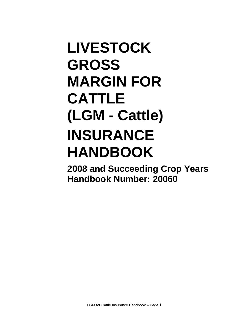# **LIVESTOCK GROSS MARGIN FOR CATTLE (LGM - Cattle) INSURANCE HANDBOOK**

**2008 and Succeeding Crop Years Handbook Number: 20060**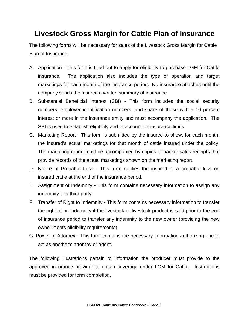# **Livestock Gross Margin for Cattle Plan of Insurance**

The following forms will be necessary for sales of the Livestock Gross Margin for Cattle Plan of Insurance:

- A. Application This form is filled out to apply for eligibility to purchase LGM for Cattle insurance. The application also includes the type of operation and target marketings for each month of the insurance period. No insurance attaches until the company sends the insured a written summary of insurance.
- B. Substantial Beneficial Interest (SBI) This form includes the social security numbers, employer identification numbers, and share of those with a 10 percent interest or more in the insurance entity and must accompany the application. The SBI is used to establish eligibility and to account for insurance limits.
- C. Marketing Report This form is submitted by the insured to show, for each month, the insured's actual marketings for that month of cattle insured under the policy. The marketing report must be accompanied by copies of packer sales receipts that provide records of the actual marketings shown on the marketing report.
- D. Notice of Probable Loss This form notifies the insured of a probable loss on insured cattle at the end of the insurance period.
- E. Assignment of Indemnity This form contains necessary information to assign any indemnity to a third party.
- F. Transfer of Right to Indemnity This form contains necessary information to transfer the right of an indemnity if the livestock or livestock product is sold prior to the end of insurance period to transfer any indemnity to the new owner (providing the new owner meets eligibility requirements).
- G. Power of Attorney This form contains the necessary information authorizing one to act as another's attorney or agent.

The following illustrations pertain to information the producer must provide to the approved insurance provider to obtain coverage under LGM for Cattle. Instructions must be provided for form completion.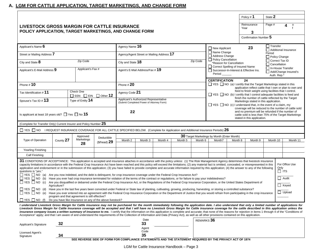## **A. LGM FOR CATTLE APPLICATION, TARGET MARKETINGS, AND CHANGE FORM**

|                                                                                                                                                                                                                                                                                                                                                                                                                                                                                                                                                                                                                                                                                                                                                                                                                                                              |                                                                                                                                                                                                                                                                                                                                                                                                                                                                                                                                                                                                                                                                                                                                                                                                                                                                                                                                                                                                                                                                                                                                                                                                                                                                                                                                                                                                                                                                                                                                                                                                                                 |                                                                                                          |                               |                                                                                                                                                                                                                                                                |                                 |                                           |                                                 |         |                                                       |                                                                                                                                          | Policy #1                                                                                                                                                                                               | State 2                                                |  |          |  |
|--------------------------------------------------------------------------------------------------------------------------------------------------------------------------------------------------------------------------------------------------------------------------------------------------------------------------------------------------------------------------------------------------------------------------------------------------------------------------------------------------------------------------------------------------------------------------------------------------------------------------------------------------------------------------------------------------------------------------------------------------------------------------------------------------------------------------------------------------------------|---------------------------------------------------------------------------------------------------------------------------------------------------------------------------------------------------------------------------------------------------------------------------------------------------------------------------------------------------------------------------------------------------------------------------------------------------------------------------------------------------------------------------------------------------------------------------------------------------------------------------------------------------------------------------------------------------------------------------------------------------------------------------------------------------------------------------------------------------------------------------------------------------------------------------------------------------------------------------------------------------------------------------------------------------------------------------------------------------------------------------------------------------------------------------------------------------------------------------------------------------------------------------------------------------------------------------------------------------------------------------------------------------------------------------------------------------------------------------------------------------------------------------------------------------------------------------------------------------------------------------------|----------------------------------------------------------------------------------------------------------|-------------------------------|----------------------------------------------------------------------------------------------------------------------------------------------------------------------------------------------------------------------------------------------------------------|---------------------------------|-------------------------------------------|-------------------------------------------------|---------|-------------------------------------------------------|------------------------------------------------------------------------------------------------------------------------------------------|---------------------------------------------------------------------------------------------------------------------------------------------------------------------------------------------------------|--------------------------------------------------------|--|----------|--|
| <b>LIVESTOCK GROSS MARGIN FOR CATTLE INSURANCE</b>                                                                                                                                                                                                                                                                                                                                                                                                                                                                                                                                                                                                                                                                                                                                                                                                           |                                                                                                                                                                                                                                                                                                                                                                                                                                                                                                                                                                                                                                                                                                                                                                                                                                                                                                                                                                                                                                                                                                                                                                                                                                                                                                                                                                                                                                                                                                                                                                                                                                 |                                                                                                          |                               |                                                                                                                                                                                                                                                                |                                 |                                           |                                                 |         |                                                       |                                                                                                                                          | Reinsurance<br>Year                                                                                                                                                                                     | Page #                                                 |  | $\circ$  |  |
| POLICY APPLICATION, TARGET MARKETINGS, AND CHANGE FORM                                                                                                                                                                                                                                                                                                                                                                                                                                                                                                                                                                                                                                                                                                                                                                                                       |                                                                                                                                                                                                                                                                                                                                                                                                                                                                                                                                                                                                                                                                                                                                                                                                                                                                                                                                                                                                                                                                                                                                                                                                                                                                                                                                                                                                                                                                                                                                                                                                                                 |                                                                                                          |                               |                                                                                                                                                                                                                                                                |                                 |                                           |                                                 |         |                                                       |                                                                                                                                          | 3                                                                                                                                                                                                       |                                                        |  |          |  |
|                                                                                                                                                                                                                                                                                                                                                                                                                                                                                                                                                                                                                                                                                                                                                                                                                                                              |                                                                                                                                                                                                                                                                                                                                                                                                                                                                                                                                                                                                                                                                                                                                                                                                                                                                                                                                                                                                                                                                                                                                                                                                                                                                                                                                                                                                                                                                                                                                                                                                                                 |                                                                                                          |                               |                                                                                                                                                                                                                                                                |                                 |                                           |                                                 |         |                                                       |                                                                                                                                          | Confirmation Number 5                                                                                                                                                                                   |                                                        |  |          |  |
| Applicant's Name 6                                                                                                                                                                                                                                                                                                                                                                                                                                                                                                                                                                                                                                                                                                                                                                                                                                           |                                                                                                                                                                                                                                                                                                                                                                                                                                                                                                                                                                                                                                                                                                                                                                                                                                                                                                                                                                                                                                                                                                                                                                                                                                                                                                                                                                                                                                                                                                                                                                                                                                 |                                                                                                          |                               | Agency Name 16                                                                                                                                                                                                                                                 |                                 |                                           |                                                 |         | $\Box$ New Applicant                                  |                                                                                                                                          | 23                                                                                                                                                                                                      | □ Transfer                                             |  |          |  |
| Street or Mailing Address 7                                                                                                                                                                                                                                                                                                                                                                                                                                                                                                                                                                                                                                                                                                                                                                                                                                  |                                                                                                                                                                                                                                                                                                                                                                                                                                                                                                                                                                                                                                                                                                                                                                                                                                                                                                                                                                                                                                                                                                                                                                                                                                                                                                                                                                                                                                                                                                                                                                                                                                 |                                                                                                          |                               |                                                                                                                                                                                                                                                                |                                 | Agency/Agent Street or Mailing Address 17 |                                                 |         | Name Change<br>Address Change                         |                                                                                                                                          |                                                                                                                                                                                                         | $\Box$ Additional Insurance<br>Period<br>Policy Change |  |          |  |
| Zip Code<br>City and State 8                                                                                                                                                                                                                                                                                                                                                                                                                                                                                                                                                                                                                                                                                                                                                                                                                                 |                                                                                                                                                                                                                                                                                                                                                                                                                                                                                                                                                                                                                                                                                                                                                                                                                                                                                                                                                                                                                                                                                                                                                                                                                                                                                                                                                                                                                                                                                                                                                                                                                                 |                                                                                                          | Zip Code<br>City and State 18 |                                                                                                                                                                                                                                                                |                                 |                                           | Policy Cancellation<br>*Reason for Cancellation |         |                                                       | □ Correct Tax ID<br>$\Box$ Cancellation                                                                                                  |                                                                                                                                                                                                         |                                                        |  |          |  |
| Applicant's E-Mail Address 9                                                                                                                                                                                                                                                                                                                                                                                                                                                                                                                                                                                                                                                                                                                                                                                                                                 |                                                                                                                                                                                                                                                                                                                                                                                                                                                                                                                                                                                                                                                                                                                                                                                                                                                                                                                                                                                                                                                                                                                                                                                                                                                                                                                                                                                                                                                                                                                                                                                                                                 | Applicant's Fax #                                                                                        |                               |                                                                                                                                                                                                                                                                | Agent's E-Mail Address/Fax # 19 |                                           |                                                 |         | Period                                                | □ Correct Spelling of Insured Name<br>In-House Transfer<br>Successor-In-Interest & Effective Ins.<br>Add/Change Insured's<br>Auth. Rep.* |                                                                                                                                                                                                         |                                                        |  |          |  |
| Phone # 10                                                                                                                                                                                                                                                                                                                                                                                                                                                                                                                                                                                                                                                                                                                                                                                                                                                   |                                                                                                                                                                                                                                                                                                                                                                                                                                                                                                                                                                                                                                                                                                                                                                                                                                                                                                                                                                                                                                                                                                                                                                                                                                                                                                                                                                                                                                                                                                                                                                                                                                 |                                                                                                          |                               | Phone $\#20$                                                                                                                                                                                                                                                   |                                 |                                           |                                                 |         | <b>CERTIFICATION</b>                                  |                                                                                                                                          | 24<br>$\Box$ YES $\Box$ NO (a) I certify that the Target Marketings stated in this                                                                                                                      |                                                        |  |          |  |
| Tax Identification # 11                                                                                                                                                                                                                                                                                                                                                                                                                                                                                                                                                                                                                                                                                                                                                                                                                                      |                                                                                                                                                                                                                                                                                                                                                                                                                                                                                                                                                                                                                                                                                                                                                                                                                                                                                                                                                                                                                                                                                                                                                                                                                                                                                                                                                                                                                                                                                                                                                                                                                                 | Check One<br>$\Box$ SSN $\Box$ EIN $\Box$ Other 12                                                       |                               | Agency Code 21                                                                                                                                                                                                                                                 |                                 |                                           |                                                 |         |                                                       |                                                                                                                                          | application reflect cattle that I own or plan to own and<br>feed to finish weight using facilities that I control.<br>$\Box$ YES $\Box$ NO (b) I certify that I control adequate facilities to feed and |                                                        |  |          |  |
| Spouse's Tax ID # 13                                                                                                                                                                                                                                                                                                                                                                                                                                                                                                                                                                                                                                                                                                                                                                                                                                         |                                                                                                                                                                                                                                                                                                                                                                                                                                                                                                                                                                                                                                                                                                                                                                                                                                                                                                                                                                                                                                                                                                                                                                                                                                                                                                                                                                                                                                                                                                                                                                                                                                 | Type of Entity 14                                                                                        |                               | finish the number of cattle reflected by the Target<br>Applicant's Authorized Representative<br>Marketings stated in this application.<br>(Submit Completed Power of Attorney Form)<br>$\Box$ YES $\Box$ NO (c) I understand that, in the event of a claim, my |                                 |                                           |                                                 |         |                                                       |                                                                                                                                          |                                                                                                                                                                                                         |                                                        |  |          |  |
| Is applicant at least 18 years old? $\Box$ Yes $\Box$ No 15                                                                                                                                                                                                                                                                                                                                                                                                                                                                                                                                                                                                                                                                                                                                                                                                  |                                                                                                                                                                                                                                                                                                                                                                                                                                                                                                                                                                                                                                                                                                                                                                                                                                                                                                                                                                                                                                                                                                                                                                                                                                                                                                                                                                                                                                                                                                                                                                                                                                 |                                                                                                          |                               | coverage will be reduced to the number of cattle sold<br>and no premium will be refunded if the number of<br>22<br>cattle sold is less than 75% of the Target Marketings<br>stated in this application.                                                        |                                 |                                           |                                                 |         |                                                       |                                                                                                                                          |                                                                                                                                                                                                         |                                                        |  |          |  |
| (Complete for Transfer Only) Current Insurer and Policy Number 25                                                                                                                                                                                                                                                                                                                                                                                                                                                                                                                                                                                                                                                                                                                                                                                            |                                                                                                                                                                                                                                                                                                                                                                                                                                                                                                                                                                                                                                                                                                                                                                                                                                                                                                                                                                                                                                                                                                                                                                                                                                                                                                                                                                                                                                                                                                                                                                                                                                 |                                                                                                          |                               |                                                                                                                                                                                                                                                                |                                 |                                           |                                                 |         |                                                       |                                                                                                                                          |                                                                                                                                                                                                         |                                                        |  |          |  |
| $\Box$ YES $\Box$ NO IREQUEST INSURANCE COVERAGE FOR ALL CATTLE SPECIFIED BELOW. (Complete for Application and Additional Insurance Periods) 26                                                                                                                                                                                                                                                                                                                                                                                                                                                                                                                                                                                                                                                                                                              |                                                                                                                                                                                                                                                                                                                                                                                                                                                                                                                                                                                                                                                                                                                                                                                                                                                                                                                                                                                                                                                                                                                                                                                                                                                                                                                                                                                                                                                                                                                                                                                                                                 |                                                                                                          |                               |                                                                                                                                                                                                                                                                |                                 |                                           |                                                 |         |                                                       |                                                                                                                                          |                                                                                                                                                                                                         |                                                        |  |          |  |
| Type of Operation                                                                                                                                                                                                                                                                                                                                                                                                                                                                                                                                                                                                                                                                                                                                                                                                                                            | County 27                                                                                                                                                                                                                                                                                                                                                                                                                                                                                                                                                                                                                                                                                                                                                                                                                                                                                                                                                                                                                                                                                                                                                                                                                                                                                                                                                                                                                                                                                                                                                                                                                       | Approved<br>Marketings                                                                                   | Deductible                    | Month 2                                                                                                                                                                                                                                                        | Month 3                         | Month 4                                   | Month 5                                         | Month 6 | 30 Target Marketings by Month (Enter Month)<br>Month7 | Month 8                                                                                                                                  | Month 9                                                                                                                                                                                                 | Month 10                                               |  | Month 11 |  |
|                                                                                                                                                                                                                                                                                                                                                                                                                                                                                                                                                                                                                                                                                                                                                                                                                                                              |                                                                                                                                                                                                                                                                                                                                                                                                                                                                                                                                                                                                                                                                                                                                                                                                                                                                                                                                                                                                                                                                                                                                                                                                                                                                                                                                                                                                                                                                                                                                                                                                                                 | 28                                                                                                       | $$$ /head) 29                 |                                                                                                                                                                                                                                                                |                                 |                                           |                                                 |         |                                                       |                                                                                                                                          |                                                                                                                                                                                                         |                                                        |  |          |  |
| Yearling Finishing                                                                                                                                                                                                                                                                                                                                                                                                                                                                                                                                                                                                                                                                                                                                                                                                                                           |                                                                                                                                                                                                                                                                                                                                                                                                                                                                                                                                                                                                                                                                                                                                                                                                                                                                                                                                                                                                                                                                                                                                                                                                                                                                                                                                                                                                                                                                                                                                                                                                                                 |                                                                                                          |                               |                                                                                                                                                                                                                                                                |                                 |                                           |                                                 |         |                                                       |                                                                                                                                          |                                                                                                                                                                                                         |                                                        |  |          |  |
| Calf Finishing                                                                                                                                                                                                                                                                                                                                                                                                                                                                                                                                                                                                                                                                                                                                                                                                                                               |                                                                                                                                                                                                                                                                                                                                                                                                                                                                                                                                                                                                                                                                                                                                                                                                                                                                                                                                                                                                                                                                                                                                                                                                                                                                                                                                                                                                                                                                                                                                                                                                                                 |                                                                                                          |                               |                                                                                                                                                                                                                                                                |                                 |                                           |                                                 |         |                                                       |                                                                                                                                          |                                                                                                                                                                                                         |                                                        |  |          |  |
| questions is "yes."                                                                                                                                                                                                                                                                                                                                                                                                                                                                                                                                                                                                                                                                                                                                                                                                                                          | 31 CONDITIONS OF ACCEPTANCE: This application is accepted and insurance attaches in accordance with the policy unless: (1) The Risk Management Agency determines that livestock insurance<br>For Office Use<br>capacity limitations in accordance with the Federal Crop Insurance Act have been reached and this policy will exceed the limitations; (2) any material fact is omitted, concealed, or misrepresented in this<br>application and endorsement or in the submission of this application; (3) you have failed to provide complete and accurate information required by this application; (4) the answer to any of the following<br>Only<br>$\Box$ its<br>□ YES □ NO (a) Are you now indebted, and the debt is delinquent, for crop insurance coverage under the Federal Crop Insurance Act?<br>$\Box$ Audit<br>□ YES □ NO (b) Have you ever had crop insurance terminated for violation of the terms of the contract or regulations, or for failure to pay your indebtedness?<br>□ YES □ NO (c) Are you disqualified or debarred under the Federal Crop Insurance Act, or the Regulations of the Federal Crop Insurance Corporation, or the United States Department of<br>$\Box$ Keyed<br>Agriculture?<br>□ YES □ NO (d) Have you in the last five years been convicted under Federal or State law of planting, cultivating, growing, producing, harvesting, or storing a controlled substance?<br>$\Box$ Upload<br>□ YES □ NO (e) Have you ever entered into an agreement with the Federal Crop Insurance Corporation or the Department of Justice that you would refrain from participating in the crop insurance |                                                                                                          |                               |                                                                                                                                                                                                                                                                |                                 |                                           |                                                 |         |                                                       |                                                                                                                                          |                                                                                                                                                                                                         |                                                        |  |          |  |
| program and that agreement is still effective?<br>$\Box$ YES $\Box$ NO (f)<br>Do you have like insurance on any of the above livestock?                                                                                                                                                                                                                                                                                                                                                                                                                                                                                                                                                                                                                                                                                                                      |                                                                                                                                                                                                                                                                                                                                                                                                                                                                                                                                                                                                                                                                                                                                                                                                                                                                                                                                                                                                                                                                                                                                                                                                                                                                                                                                                                                                                                                                                                                                                                                                                                 |                                                                                                          |                               |                                                                                                                                                                                                                                                                |                                 |                                           |                                                 |         |                                                       |                                                                                                                                          |                                                                                                                                                                                                         |                                                        |  |          |  |
| I understand Livestock Gross Margin for Cattle insurance may not be purchased for the month immediately following the application date. I also understand that only a limited number of applications for<br>Livestock Gross Margin for Cattle Insurance coverage will be accepted and that I will have no Livestock Gross Margin for Cattle insurance coverage for the cattle described in this application unless the<br>insurance company issues a written summary of insurance to me. I certify that the information on this application is complete and accurate; that none of the reasons for rejection in items 1 through 4 of the "Conditions of<br>Acceptance" apply; and that I am aware of and understand the requirements of the Collection of Information and Data (Privacy Act), as well as all other provisions contained on this application. |                                                                                                                                                                                                                                                                                                                                                                                                                                                                                                                                                                                                                                                                                                                                                                                                                                                                                                                                                                                                                                                                                                                                                                                                                                                                                                                                                                                                                                                                                                                                                                                                                                 |                                                                                                          |                               |                                                                                                                                                                                                                                                                |                                 |                                           |                                                 |         |                                                       |                                                                                                                                          |                                                                                                                                                                                                         |                                                        |  |          |  |
|                                                                                                                                                                                                                                                                                                                                                                                                                                                                                                                                                                                                                                                                                                                                                                                                                                                              | 32                                                                                                                                                                                                                                                                                                                                                                                                                                                                                                                                                                                                                                                                                                                                                                                                                                                                                                                                                                                                                                                                                                                                                                                                                                                                                                                                                                                                                                                                                                                                                                                                                              |                                                                                                          |                               | Date<br>REMARKS 36<br>33                                                                                                                                                                                                                                       |                                 |                                           |                                                 |         |                                                       |                                                                                                                                          |                                                                                                                                                                                                         |                                                        |  |          |  |
| Applicant's Signature                                                                                                                                                                                                                                                                                                                                                                                                                                                                                                                                                                                                                                                                                                                                                                                                                                        |                                                                                                                                                                                                                                                                                                                                                                                                                                                                                                                                                                                                                                                                                                                                                                                                                                                                                                                                                                                                                                                                                                                                                                                                                                                                                                                                                                                                                                                                                                                                                                                                                                 |                                                                                                          |                               |                                                                                                                                                                                                                                                                | Agent                           |                                           |                                                 |         |                                                       |                                                                                                                                          |                                                                                                                                                                                                         |                                                        |  |          |  |
| Licensed Agent's<br>Signature                                                                                                                                                                                                                                                                                                                                                                                                                                                                                                                                                                                                                                                                                                                                                                                                                                | 34                                                                                                                                                                                                                                                                                                                                                                                                                                                                                                                                                                                                                                                                                                                                                                                                                                                                                                                                                                                                                                                                                                                                                                                                                                                                                                                                                                                                                                                                                                                                                                                                                              |                                                                                                          |                               |                                                                                                                                                                                                                                                                | Code<br>35                      |                                           |                                                 |         |                                                       |                                                                                                                                          |                                                                                                                                                                                                         |                                                        |  |          |  |
|                                                                                                                                                                                                                                                                                                                                                                                                                                                                                                                                                                                                                                                                                                                                                                                                                                                              |                                                                                                                                                                                                                                                                                                                                                                                                                                                                                                                                                                                                                                                                                                                                                                                                                                                                                                                                                                                                                                                                                                                                                                                                                                                                                                                                                                                                                                                                                                                                                                                                                                 | SEE REVERSE SIDE OF FORM FOR COMPLIANCE STATEMENTS AND THE STATEMENT REQUIRED BY THE PRIVACY ACT OF 1974 |                               |                                                                                                                                                                                                                                                                |                                 |                                           |                                                 |         |                                                       |                                                                                                                                          |                                                                                                                                                                                                         |                                                        |  |          |  |

LGM for Cattle Insurance Handbook – Page 3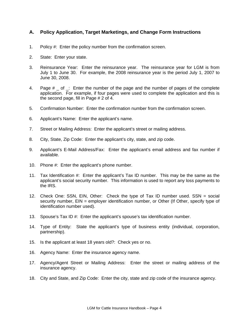## **A. Policy Application, Target Marketings, and Change Form Instructions**

- 1. Policy #: Enter the policy number from the confirmation screen.
- 2. State: Enter your state.
- 3. Reinsurance Year: Enter the reinsurance year. The reinsurance year for LGM is from July 1 to June 30. For example, the 2008 reinsurance year is the period July 1, 2007 to June 30, 2008.
- 4. Page  $#_$  of  $\cong$ : Enter the number of the page and the number of pages of the complete application. For example, if four pages were used to complete the application and this is the second page, fill in Page # 2 of 4.
- 5. Confirmation Number: Enter the confirmation number from the confirmation screen.
- 6. Applicant's Name: Enter the applicant's name.
- 7. Street or Mailing Address: Enter the applicant's street or mailing address.
- 8. City, State, Zip Code: Enter the applicant's city, state, and zip code.
- 9. Applicant's E-Mail Address/Fax: Enter the applicant's email address and fax number if available.
- 10. Phone #: Enter the applicant's phone number.
- 11. Tax Identification #: Enter the applicant's Tax ID number. This may be the same as the applicant's social security number. This information is used to report any loss payments to the IRS.
- 12. Check One: SSN, EIN, Other: Check the type of Tax ID number used. SSN = social security number, EIN = employer identification number, or Other (If Other, specify type of identification number used).
- 13. Spouse's Tax ID #: Enter the applicant's spouse's tax identification number.
- 14. Type of Entity: State the applicant's type of business entity (individual, corporation, partnership).
- 15. Is the applicant at least 18 years old?: Check yes or no.
- 16. Agency Name: Enter the insurance agency name.
- 17. Agency/Agent Street or Mailing Address: Enter the street or mailing address of the insurance agency.
- 18. City and State, and Zip Code: Enter the city, state and zip code of the insurance agency.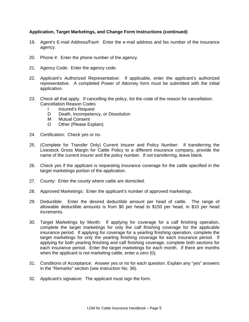#### **Application, Target Marketings, and Change Form Instructions (continued)**

- 19. Agent's E-mail Address/Fax#: Enter the e-mail address and fax number of the insurance agency.
- 20. Phone #: Enter the phone number of the agency.
- 21. Agency Code: Enter the agency code.
- 22. Applicant's Authorized Representative: If applicable, enter the applicant's authorized representative. A completed Power of Attorney form must be submitted with the initial application.
- 23. Check all that apply. If cancelling the policy, list the code of the reason for cancellation. Cancellation Reason Codes
	- I Insured's Request
	- D Death, Incompetency, or Dissolution
	- M Mutual Consent
	- O Other (Please Explain)
- 24. Certification: Check yes or no.
- 25. (Complete for Transfer Only) Current Insurer and Policy Number: If transferring the Livestock Gross Margin for Cattle Policy to a different insurance company, provide the name of the current insurer and the policy number. If not transferring, leave blank.
- 26. Check yes if the applicant is requesting insurance coverage for the cattle specified in the target marketings portion of the application.
- 27. County: Enter the county where cattle are domiciled.
- 28. Approved Marketings: Enter the applicant's number of approved marketings.
- 29. Deductible: Enter the desired deductible amount per head of cattle. The range of allowable deductible amounts is from \$0 per head to \$150 per head, in \$10 per head increments.
- 30. Target Marketings by Month: If applying for coverage for a calf finishing operation, complete the target marketings for only the calf finishing coverage for the applicable insurance period. If applying for coverage for a yearling finishing operation, complete the target marketings for only the yearling finishing coverage for each insurance period. If applying for both yearling finishing and calf finishing coverage, complete both sections for each insurance period. Enter the target marketings for each month. If there are months when the applicant is not marketing cattle, enter a zero (0).
- 31. Conditions of Acceptance: Answer yes or no for each question. Explain any "yes" answers in the "Remarks" section (see instruction No. 36).
- 32. Applicant's signature: The applicant must sign the form.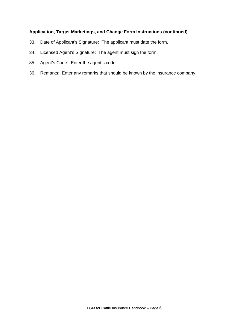## **Application, Target Marketings, and Change Form Instructions (continued)**

- 33. Date of Applicant's Signature: The applicant must date the form.
- 34. Licensed Agent's Signature: The agent must sign the form.
- 35. Agent's Code: Enter the agent's code.
- 36. Remarks: Enter any remarks that should be known by the insurance company.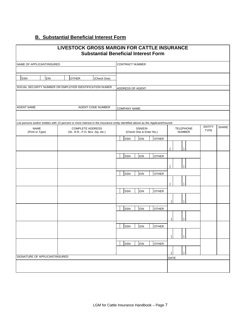## **B. Substantial Beneficial Interest Form**

|                                | LIVESTOCK GROSS MARGIN FOR CATTLE INSURANCE                                                                                      | <b>Substantial Beneficial Interest Form</b> |                                   |               |              |
|--------------------------------|----------------------------------------------------------------------------------------------------------------------------------|---------------------------------------------|-----------------------------------|---------------|--------------|
| NAME OF APPLICANT/INSURED      |                                                                                                                                  | <b>CONTRACT NUMBER</b>                      |                                   |               |              |
| <b>EIN</b><br>SSN              | <b>OTHER</b><br>(Check One)                                                                                                      |                                             |                                   |               |              |
|                                | SOCIAL SECURITY NUMBER OR EMPLOYER IDENTIFICATION NUMER                                                                          | ADDRESS OF AGENT                            |                                   |               |              |
| <b>AGENT NAME</b>              | AGENT CODE NUMBER                                                                                                                | <b>COMPANY NAME</b>                         |                                   |               |              |
|                                | List persons and/or entities with 10 percent or more interest in the insurance entity identified above as the Applicant/Insured. |                                             |                                   | <b>ENTITY</b> | <b>SHARE</b> |
| <b>NAME</b><br>(Print or Type) | <b>COMPLETE ADDRESS</b><br>(St., R.R., P.O. Box, Zip, etc.)                                                                      | SSN/EIN<br>(Check One & Enter No.)          | <b>TELEPHONE</b><br><b>NUMBER</b> | <b>TYPE</b>   |              |
|                                |                                                                                                                                  | <b>OTHER</b><br>SSN<br>EIN                  |                                   |               |              |
|                                |                                                                                                                                  | <b>OTHER</b><br>SSN<br>EIN                  |                                   |               |              |
|                                |                                                                                                                                  | SSN<br>EIN<br><b>OTHER</b>                  |                                   |               |              |
|                                |                                                                                                                                  | SSN<br><b>OTHER</b><br>EIN                  |                                   |               |              |
|                                |                                                                                                                                  |                                             |                                   |               |              |
|                                |                                                                                                                                  | <b>OTHER</b><br>SSN<br>EIN                  |                                   |               |              |
|                                |                                                                                                                                  | SSN<br>EIN<br><b>OTHER</b>                  |                                   |               |              |
|                                |                                                                                                                                  | SSN<br>EIN<br><b>OTHER</b>                  |                                   |               |              |
| SIGNATURE OF APPLICANT/INSURED |                                                                                                                                  |                                             |                                   |               |              |
|                                |                                                                                                                                  |                                             | DATE                              |               |              |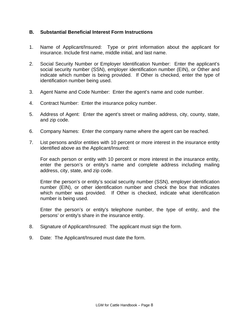## **B. Substantial Beneficial Interest Form Instructions**

- 1. Name of Applicant/Insured: Type or print information about the applicant for insurance. Include first name, middle initial, and last name.
- 2. Social Security Number or Employer Identification Number: Enter the applicant's social security number (SSN), employer identification number (EIN), or Other and indicate which number is being provided. If Other is checked, enter the type of identification number being used.
- 3. Agent Name and Code Number: Enter the agent's name and code number.
- 4. Contract Number: Enter the insurance policy number.
- 5. Address of Agent: Enter the agent's street or mailing address, city, county, state, and zip code.
- 6. Company Names: Enter the company name where the agent can be reached.
- 7. List persons and/or entities with 10 percent or more interest in the insurance entity identified above as the Applicant/Insured:

 For each person or entity with 10 percent or more interest in the insurance entity, enter the person's or entity's name and complete address including mailing address, city, state, and zip code.

 Enter the person's or entity's social security number (SSN), employer identification number (EIN), or other identification number and check the box that indicates which number was provided. If Other is checked, indicate what identification number is being used.

 Enter the person's or entity's telephone number, the type of entity, and the persons' or entity's share in the insurance entity.

- 8. Signature of Applicant/Insured: The applicant must sign the form.
- 9. Date: The Applicant/Insured must date the form.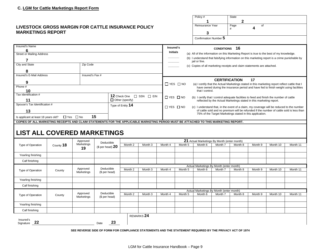#### **LIVESTOCK GR MARKETINGS**

|                                                                                                                                      |                                             |                        |                                  |                                                                                                                   |                       |                                                                         |                                                                                                                 | Policy #<br>1                            |                                                                                                                                                      | State<br>$\mathbf{2}$                                                                                                                                                                   |         |          |          |
|--------------------------------------------------------------------------------------------------------------------------------------|---------------------------------------------|------------------------|----------------------------------|-------------------------------------------------------------------------------------------------------------------|-----------------------|-------------------------------------------------------------------------|-----------------------------------------------------------------------------------------------------------------|------------------------------------------|------------------------------------------------------------------------------------------------------------------------------------------------------|-----------------------------------------------------------------------------------------------------------------------------------------------------------------------------------------|---------|----------|----------|
| LIVESTOCK GROSS MARGIN FOR CATTLE INSURANCE POLICY                                                                                   |                                             |                        |                                  |                                                                                                                   |                       |                                                                         |                                                                                                                 | Reinsurance Year                         |                                                                                                                                                      | Page<br>#                                                                                                                                                                               | of<br>4 |          |          |
| <b>MARKETINGS REPORT</b>                                                                                                             |                                             |                        |                                  |                                                                                                                   |                       |                                                                         |                                                                                                                 | 3                                        |                                                                                                                                                      |                                                                                                                                                                                         |         |          |          |
|                                                                                                                                      |                                             |                        |                                  |                                                                                                                   |                       |                                                                         |                                                                                                                 | Confirmation Number 5                    |                                                                                                                                                      |                                                                                                                                                                                         |         |          |          |
| Insured's Name                                                                                                                       |                                             |                        |                                  |                                                                                                                   |                       | Insured's                                                               |                                                                                                                 |                                          | <b>CONDITIONS</b>                                                                                                                                    | -16                                                                                                                                                                                     |         |          |          |
| <b>Street or Mailing Address</b>                                                                                                     |                                             |                        |                                  |                                                                                                                   |                       | <b>Initials</b>                                                         |                                                                                                                 |                                          |                                                                                                                                                      | (a) All of the information on this Marketing Report is true to the best of my knowledge.                                                                                                |         |          |          |
| 7                                                                                                                                    |                                             |                        |                                  |                                                                                                                   |                       |                                                                         | (b) I understand that falsifying information on this marketing report is a crime punishable by<br>jail or fine. |                                          |                                                                                                                                                      |                                                                                                                                                                                         |         |          |          |
| City and State                                                                                                                       |                                             | Zip Code               |                                  |                                                                                                                   |                       | (c) Copies of all marketing receipts and claim statements are attached. |                                                                                                                 |                                          |                                                                                                                                                      |                                                                                                                                                                                         |         |          |          |
| 8                                                                                                                                    |                                             |                        |                                  |                                                                                                                   |                       |                                                                         |                                                                                                                 |                                          |                                                                                                                                                      |                                                                                                                                                                                         |         |          |          |
| Insured's E-Mail Address                                                                                                             | Insured's Fax #                             |                        |                                  |                                                                                                                   |                       |                                                                         |                                                                                                                 |                                          |                                                                                                                                                      |                                                                                                                                                                                         |         |          |          |
| 9                                                                                                                                    |                                             |                        |                                  |                                                                                                                   |                       |                                                                         |                                                                                                                 |                                          | <b>CERTIFICATION</b>                                                                                                                                 |                                                                                                                                                                                         | 17      |          |          |
| Phone #                                                                                                                              |                                             |                        |                                  |                                                                                                                   |                       |                                                                         | $\Box$ YES $\Box$ NO                                                                                            | that I control.                          |                                                                                                                                                      | (a) I certify that the Actual Marketings stated in this marketing report reflect cattle that I<br>have owned during the insurance period and have fed to finish weight using facilities |         |          |          |
| Tax Identification #                                                                                                                 | 10<br>12 Check One<br>$\Box$ SSN $\Box$ EIN |                        |                                  |                                                                                                                   |                       |                                                                         |                                                                                                                 |                                          |                                                                                                                                                      |                                                                                                                                                                                         |         |          |          |
| 11                                                                                                                                   | $\Box$ Other (specify)                      |                        |                                  |                                                                                                                   |                       |                                                                         | $\Box$ YES $\Box$ NO                                                                                            |                                          |                                                                                                                                                      | (b) I certify that I control adequate facilities to feed and finish the number of cattle<br>reflected by the Actual Marketings stated in this marketing report.                         |         |          |          |
| Spouse's Tax Identification #<br>Type of Entity 14                                                                                   |                                             |                        |                                  | $\Box$ YES $\Box$ NO<br>(c) I understand that, in the event of a claim, my coverage will be reduced to the number |                       |                                                                         |                                                                                                                 |                                          |                                                                                                                                                      |                                                                                                                                                                                         |         |          |          |
| 13                                                                                                                                   |                                             |                        |                                  |                                                                                                                   |                       |                                                                         |                                                                                                                 |                                          | of cattle sold and no premium will be refunded if the number of cattle sold is less than<br>75% of the Target Marketings stated in this application. |                                                                                                                                                                                         |         |          |          |
| Is applicant at least 18 years old?                                                                                                  |                                             | □ Yes □ No             | 15                               |                                                                                                                   |                       |                                                                         |                                                                                                                 |                                          |                                                                                                                                                      |                                                                                                                                                                                         |         |          |          |
| COPIES OF ALL MARKETING RECEIPTS AND CLAIM STATEMENTS FOR THE APPLICABLE MARKETING PERIOD MUST BE ATTACHED TO THIS MARKETING REPORT. |                                             |                        |                                  |                                                                                                                   |                       |                                                                         |                                                                                                                 |                                          |                                                                                                                                                      |                                                                                                                                                                                         |         |          |          |
| <b>LIST ALL COVERED MARKETINGS</b>                                                                                                   |                                             |                        |                                  |                                                                                                                   |                       |                                                                         |                                                                                                                 |                                          |                                                                                                                                                      |                                                                                                                                                                                         |         |          |          |
|                                                                                                                                      |                                             | Approved               |                                  | 21 Actual Marketings By Month (enter month)                                                                       |                       |                                                                         |                                                                                                                 |                                          |                                                                                                                                                      |                                                                                                                                                                                         |         |          |          |
| Type of Operation                                                                                                                    | County 18                                   | Marketings             | Deductible<br>(\$ per head) $20$ | Month 2                                                                                                           | Month 3               | Month 4                                                                 | Month 5                                                                                                         | Month 6                                  | Month 7                                                                                                                                              | Month 8                                                                                                                                                                                 | Month 9 | Month 10 | Month 11 |
|                                                                                                                                      |                                             | 19                     |                                  |                                                                                                                   |                       |                                                                         |                                                                                                                 |                                          |                                                                                                                                                      |                                                                                                                                                                                         |         |          |          |
| Yearling finishing                                                                                                                   |                                             |                        |                                  |                                                                                                                   |                       |                                                                         |                                                                                                                 |                                          |                                                                                                                                                      |                                                                                                                                                                                         |         |          |          |
| Calf finishing                                                                                                                       |                                             |                        |                                  |                                                                                                                   |                       |                                                                         |                                                                                                                 |                                          |                                                                                                                                                      |                                                                                                                                                                                         |         |          |          |
|                                                                                                                                      |                                             | Approved               | Deductible                       |                                                                                                                   |                       |                                                                         |                                                                                                                 | Actual Marketings By Month (enter month) |                                                                                                                                                      |                                                                                                                                                                                         |         |          |          |
| Type of Operation                                                                                                                    | County                                      | Marketings             | (\$ per head)                    | Month 2                                                                                                           | Month 3               | Month 4                                                                 | Month 5                                                                                                         | Month 6                                  | Month 7                                                                                                                                              | Month 8                                                                                                                                                                                 | Month 9 | Month 10 | Month 11 |
| Yearling finishing                                                                                                                   |                                             |                        |                                  |                                                                                                                   |                       |                                                                         |                                                                                                                 |                                          |                                                                                                                                                      |                                                                                                                                                                                         |         |          |          |
| Calf finishing                                                                                                                       |                                             |                        |                                  |                                                                                                                   |                       |                                                                         |                                                                                                                 |                                          |                                                                                                                                                      |                                                                                                                                                                                         |         |          |          |
|                                                                                                                                      |                                             |                        |                                  |                                                                                                                   |                       |                                                                         |                                                                                                                 | Actual Marketings By Month (enter month) |                                                                                                                                                      |                                                                                                                                                                                         |         |          |          |
| Type of Operation                                                                                                                    | County                                      | Approved<br>Marketings | Deductible<br>(\$ per head)      | Month 2                                                                                                           | Month 3               | Month 4                                                                 | Month 5                                                                                                         | Month 6                                  | Month 7                                                                                                                                              | Month 8                                                                                                                                                                                 | Month 9 | Month 10 | Month 11 |
| Yearling finishing                                                                                                                   |                                             |                        |                                  |                                                                                                                   |                       |                                                                         |                                                                                                                 |                                          |                                                                                                                                                      |                                                                                                                                                                                         |         |          |          |
| Calf finishing                                                                                                                       |                                             |                        |                                  |                                                                                                                   |                       |                                                                         |                                                                                                                 |                                          |                                                                                                                                                      |                                                                                                                                                                                         |         |          |          |
|                                                                                                                                      |                                             |                        |                                  |                                                                                                                   | REMARKS <sub>24</sub> |                                                                         |                                                                                                                 |                                          |                                                                                                                                                      |                                                                                                                                                                                         |         |          |          |
| Insured's<br>22<br>Signature                                                                                                         |                                             |                        | 23<br>Date                       |                                                                                                                   |                       |                                                                         |                                                                                                                 |                                          |                                                                                                                                                      |                                                                                                                                                                                         |         |          |          |

**SEE REVERSE SIDE OF FORM FOR COMPLIANCE STATEMENTS AND THE STATEMENT REQUIRED BY THE PRIVACY ACT OF 1974**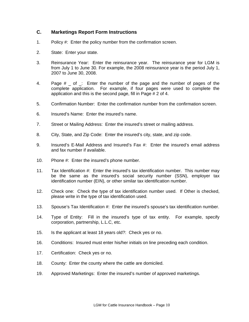## **C. Marketings Report Form Instructions**

- 1. Policy #: Enter the policy number from the confirmation screen.
- 2. State: Enter your state.
- 3. Reinsurance Year: Enter the reinsurance year. The reinsurance year for LGM is from July 1 to June 30. For example, the 2008 reinsurance year is the period July 1, 2007 to June 30, 2008.
- 4. Page # of : Enter the number of the page and the number of pages of the complete application. For example, if four pages were used to complete the application and this is the second page, fill in Page # 2 of 4.
- 5. Confirmation Number: Enter the confirmation number from the confirmation screen.
- 6. Insured's Name: Enter the insured's name.
- 7. Street or Mailing Address: Enter the insured's street or mailing address.
- 8. City, State, and Zip Code: Enter the insured's city, state, and zip code.
- 9. Insured's E-Mail Address and Insured's Fax #: Enter the insured's email address and fax number if available.
- 10. Phone #: Enter the insured's phone number.
- 11. Tax Identification #: Enter the insured's tax identification number. This number may be the same as the insured's social security number (SSN), employer tax identification number (EIN), or other similar tax identification number.
- 12. Check one: Check the type of tax identification number used. If Other is checked, please write in the type of tax identification used.
- 13. Spouse's Tax Identification #: Enter the insured's spouse's tax identification number.
- 14. Type of Entity: Fill in the insured's type of tax entity. For example, specify corporation, partnership, L.L.C, etc.
- 15. Is the applicant at least 18 years old?: Check yes or no.
- 16. Conditions: Insured must enter his/her initials on line preceding each condition.
- 17. Certification: Check yes or no.
- 18. County: Enter the county where the cattle are domiciled.
- 19. Approved Marketings: Enter the insured's number of approved marketings.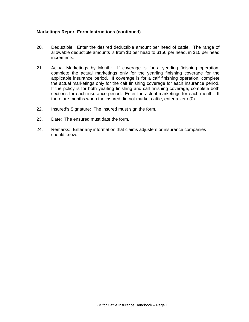#### **Marketings Report Form Instructions (continued)**

- 20. Deductible: Enter the desired deductible amount per head of cattle. The range of allowable deductible amounts is from \$0 per head to \$150 per head, in \$10 per head increments.
- 21. Actual Marketings by Month: If coverage is for a yearling finishing operation, complete the actual marketings only for the yearling finishing coverage for the applicable insurance period. If coverage is for a calf finishing operation, complete the actual marketings only for the calf finishing coverage for each insurance period. If the policy is for both yearling finishing and calf finishing coverage, complete both sections for each insurance period. Enter the actual marketings for each month. If there are months when the insured did not market cattle, enter a zero (0).
- 22. Insured's Signature: The insured must sign the form.
- 23. Date: The ensured must date the form.
- 24. Remarks: Enter any information that claims adjusters or insurance companies should know.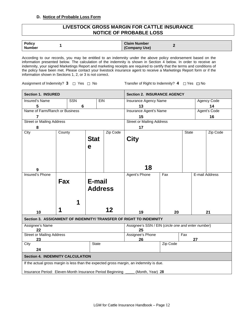#### **D. Notice of Probable Loss Form**

## **LIVESTOCK GROSS MARGIN FOR CATTLE INSURANCE NOTICE OF PROBABLE LOSS**

| Policy        | <b>Claim Number</b> |
|---------------|---------------------|
| <b>Number</b> | (Company Use)       |
|               |                     |

According to our records, you may be entitled to an indemnity under the above policy endorsement based on the information presented below. The calculation of the indemnity is shown in Section 4 below. In order to receive an indemnity, your signed Marketings Report and marketing receipts are required to certify that the terms and conditions of the policy have been met. Please contact your livestock insurance agent to receive a Marketings Report form or if the information shown in Sections 1, 2, or 3 is not correct.

Assignment of Indemnity? 3  $\Box$  Yes  $\Box$  No Transfer of Right to Indemnity? 4  $\Box$  Yes  $\Box$  No

| <b>Section 1. INSURED</b>                                                               |        |            |              |                                        | <b>Section 2. INSURANCE AGENCY</b>                                 |          |              |              |  |  |
|-----------------------------------------------------------------------------------------|--------|------------|--------------|----------------------------------------|--------------------------------------------------------------------|----------|--------------|--------------|--|--|
| <b>Insured's Name</b>                                                                   |        | <b>SSN</b> |              | <b>EIN</b>                             | Insurance Agency Name                                              |          |              | Agency Code  |  |  |
| 5                                                                                       |        | 6          |              |                                        | 13                                                                 |          |              | 14           |  |  |
| Name of Farm/Ranch or Business                                                          |        |            |              |                                        | Insurance Agent's Name                                             |          |              | Agent's Code |  |  |
| $\overline{7}$                                                                          |        |            |              |                                        | 15<br>16                                                           |          |              |              |  |  |
| <b>Street or Mailing Address</b>                                                        |        |            |              |                                        | <b>Street or Mailing Address</b>                                   |          |              |              |  |  |
| 8                                                                                       |        |            |              |                                        | 17                                                                 |          |              |              |  |  |
| City                                                                                    | County |            |              | Zip Code                               |                                                                    |          | <b>State</b> | Zip Code     |  |  |
|                                                                                         |        |            | <b>Stat</b>  |                                        | <b>City</b>                                                        |          |              |              |  |  |
|                                                                                         |        |            |              |                                        |                                                                    |          |              |              |  |  |
|                                                                                         |        |            | e            |                                        |                                                                    |          |              |              |  |  |
|                                                                                         |        |            |              |                                        |                                                                    |          |              |              |  |  |
|                                                                                         |        |            |              |                                        |                                                                    |          |              |              |  |  |
|                                                                                         |        |            |              |                                        |                                                                    |          |              |              |  |  |
|                                                                                         |        |            |              |                                        | 18                                                                 |          |              |              |  |  |
| <b>Insured's Phone</b>                                                                  |        |            |              | Agent's Phone<br>E-mail Address<br>Fax |                                                                    |          |              |              |  |  |
|                                                                                         | Fax    |            | E-mail       |                                        |                                                                    |          |              |              |  |  |
|                                                                                         |        |            |              |                                        |                                                                    |          |              |              |  |  |
|                                                                                         |        |            |              | <b>Address</b>                         |                                                                    |          |              |              |  |  |
|                                                                                         |        |            |              |                                        |                                                                    |          |              |              |  |  |
|                                                                                         |        |            |              |                                        |                                                                    |          |              |              |  |  |
|                                                                                         |        |            |              |                                        |                                                                    |          |              |              |  |  |
| 10                                                                                      |        |            |              | 12                                     | 19                                                                 | 20       |              | 21           |  |  |
|                                                                                         |        |            |              |                                        | Section 3. ASSIGNMENT OF INDEMNITY/ TRANSFER OF RIGHT TO INDEMNITY |          |              |              |  |  |
| Assignee's Name                                                                         |        |            |              |                                        | Assignee's SSN / EIN (circle one and enter number)                 |          |              |              |  |  |
| 22                                                                                      |        |            |              |                                        | 25                                                                 |          |              |              |  |  |
| <b>Street or Mailing Address</b>                                                        |        |            |              |                                        | Assignee's Phone                                                   |          | Fax          |              |  |  |
| 23                                                                                      |        |            |              |                                        | 26                                                                 |          |              | 27           |  |  |
| City                                                                                    |        |            | <b>State</b> |                                        |                                                                    | Zip Code |              |              |  |  |
|                                                                                         | 24     |            |              |                                        |                                                                    |          |              |              |  |  |
| <b>Section 4. INDEMNITY CALCULATION</b>                                                 |        |            |              |                                        |                                                                    |          |              |              |  |  |
| If the actual gross margin is less than the expected gross margin, an indemnity is due. |        |            |              |                                        |                                                                    |          |              |              |  |  |
| Insurance Period: Eleven-Month Insurance Period Beginning<br>(Month, Year) 28           |        |            |              |                                        |                                                                    |          |              |              |  |  |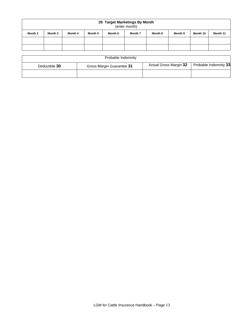| 29 Target Marketings By Month<br>(enter month) |         |         |         |         |         |         |         |          |          |
|------------------------------------------------|---------|---------|---------|---------|---------|---------|---------|----------|----------|
| Month 2                                        | Month 3 | Month 4 | Month 5 | Month 6 | Month 7 | Month 8 | Month 9 | Month 10 | Month 11 |
|                                                |         |         |         |         |         |         |         |          |          |
|                                                |         |         |         |         |         |         |         |          |          |

|               | Probable Indemnity        |                        |                       |
|---------------|---------------------------|------------------------|-----------------------|
| Deductible 30 | Gross Margin Guarantee 31 | Actual Gross Margin 32 | Probable Indemnity 33 |
|               |                           |                        |                       |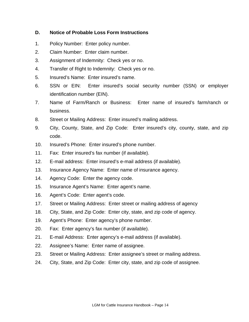## **D. Notice of Probable Loss Form Instructions**

- 1. Policy Number: Enter policy number.
- 2. Claim Number: Enter claim number.
- 3. Assignment of Indemnity: Check yes or no.
- 4. Transfer of Right to Indemnity: Check yes or no.
- 5. Insured's Name: Enter insured's name.
- 6. SSN or EIN: Enter insured's social security number (SSN) or employer identification number (EIN).
- 7. Name of Farm/Ranch or Business: Enter name of insured's farm/ranch or business.
- 8. Street or Mailing Address: Enter insured's mailing address.
- 9. City, County, State, and Zip Code: Enter insured's city, county, state, and zip code.
- 10. Insured's Phone: Enter insured's phone number.
- 11. Fax: Enter insured's fax number (if available).
- 12. E-mail address: Enter insured's e-mail address (if available).
- 13. Insurance Agency Name: Enter name of insurance agency.
- 14. Agency Code: Enter the agency code.
- 15. Insurance Agent's Name: Enter agent's name.
- 16. Agent's Code: Enter agent's code.
- 17. Street or Mailing Address: Enter street or mailing address of agency
- 18. City, State, and Zip Code: Enter city, state, and zip code of agency.
- 19. Agent's Phone: Enter agency's phone number.
- 20. Fax: Enter agency's fax number (if available).
- 21. E-mail Address: Enter agency's e-mail address (if available).
- 22. Assignee's Name: Enter name of assignee.
- 23. Street or Mailing Address: Enter assignee's street or mailing address.
- 24. City, State, and Zip Code: Enter city, state, and zip code of assignee.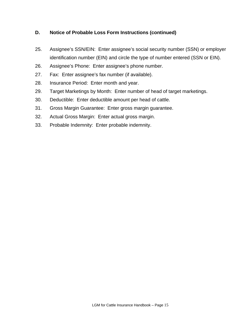## **D. Notice of Probable Loss Form Instructions (continued)**

- 25. Assignee's SSN/EIN: Enter assignee's social security number (SSN) or employer identification number (EIN) and circle the type of number entered (SSN or EIN).
- 26. Assignee's Phone: Enter assignee's phone number.
- 27. Fax: Enter assignee's fax number (if available).
- 28. Insurance Period: Enter month and year.
- 29. Target Marketings by Month: Enter number of head of target marketings.
- 30. Deductible: Enter deductible amount per head of cattle.
- 31. Gross Margin Guarantee: Enter gross margin guarantee.
- 32. Actual Gross Margin: Enter actual gross margin.
- 33. Probable Indemnity: Enter probable indemnity.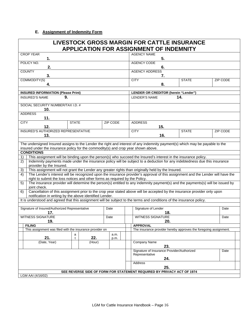#### **E. Assignment of Indemnity Form**

|                                                                                                                                                                                                                    | <b>LIVESTOCK GROSS MARGIN FOR CATTLE INSURANCE</b><br><b>APPLICATION FOR ASSIGNMENT OF INDEMNITY</b> |  |                      |                                                                  |              |          |      |  |  |
|--------------------------------------------------------------------------------------------------------------------------------------------------------------------------------------------------------------------|------------------------------------------------------------------------------------------------------|--|----------------------|------------------------------------------------------------------|--------------|----------|------|--|--|
| <b>CROP YEAR</b><br>1.                                                                                                                                                                                             |                                                                                                      |  | <b>AGENCY NAME</b>   | 5.                                                               |              |          |      |  |  |
| POLICY NO.<br>2.                                                                                                                                                                                                   |                                                                                                      |  | <b>AGENCY CODE</b>   | 6.                                                               |              |          |      |  |  |
| <b>COUNTY</b><br>3.                                                                                                                                                                                                |                                                                                                      |  |                      | <b>AGENCY ADDRESS</b><br>7.                                      |              |          |      |  |  |
| COMMODITY(S)<br>4.                                                                                                                                                                                                 |                                                                                                      |  | <b>CITY</b>          | 8.                                                               | <b>STATE</b> | ZIP CODE |      |  |  |
|                                                                                                                                                                                                                    |                                                                                                      |  |                      |                                                                  |              |          |      |  |  |
| <b>INSURED INFORMATION (Please Print)</b>                                                                                                                                                                          |                                                                                                      |  |                      | LENDER OR CREDITOR (herein "Lender")                             |              |          |      |  |  |
| 9.<br><b>INSURED'S NAME</b>                                                                                                                                                                                        |                                                                                                      |  | <b>LENDER'S NAME</b> |                                                                  | 14.          |          |      |  |  |
| SOCIAL SECURITY NUMBER/TAX I.D. #<br>10.                                                                                                                                                                           |                                                                                                      |  |                      |                                                                  |              |          |      |  |  |
| <b>ADDRESS</b><br>11.                                                                                                                                                                                              |                                                                                                      |  |                      |                                                                  |              |          |      |  |  |
| <b>STATE</b><br><b>CITY</b>                                                                                                                                                                                        | <b>ZIP CODE</b>                                                                                      |  | <b>ADDRESS</b>       |                                                                  |              |          |      |  |  |
| 15.<br>12.                                                                                                                                                                                                         |                                                                                                      |  |                      |                                                                  |              |          |      |  |  |
| INSURED'S AUTHORIZED REPRESENTATIVE<br>13.                                                                                                                                                                         |                                                                                                      |  | <b>CITY</b>          | 16.                                                              | <b>STATE</b> | ZIP CODE |      |  |  |
|                                                                                                                                                                                                                    |                                                                                                      |  |                      |                                                                  |              |          |      |  |  |
| The undersigned Insured assigns to the Lender the right and interest of any indemnity payment(s) which may be payable to the<br>insured under the insurance policy for the commodity(s) and crop year shown above. |                                                                                                      |  |                      |                                                                  |              |          |      |  |  |
| <b>CONDITIONS</b>                                                                                                                                                                                                  |                                                                                                      |  |                      |                                                                  |              |          |      |  |  |
| This assignment will be binding upon the person(s) who succeed the Insured's interest in the insurance policy.<br>1)                                                                                               |                                                                                                      |  |                      |                                                                  |              |          |      |  |  |
| Indemnity payments made under the insurance policy will be subject to a deduction for any indebtedness due this insurance<br>2)                                                                                    |                                                                                                      |  |                      |                                                                  |              |          |      |  |  |
| provider by the Insured.<br>This assignment will not grant the Lender any greater rights than originally held by the Insured.<br>3)                                                                                |                                                                                                      |  |                      |                                                                  |              |          |      |  |  |
| The Lender's interest will be recognized upon the insurance provider's approval of this assignment and the Lender will have the<br>4)                                                                              |                                                                                                      |  |                      |                                                                  |              |          |      |  |  |
| right to submit the loss notices and other forms as required by the Policy.                                                                                                                                        |                                                                                                      |  |                      |                                                                  |              |          |      |  |  |
| The insurance provider will determine the person(s) entitled to any indemnity payment(s) and the payments(s) will be issued by<br>5)<br>joint check.                                                               |                                                                                                      |  |                      |                                                                  |              |          |      |  |  |
| Cancellation of this assignment prior to the crop year stated above will be accepted by the insurance provider only upon<br>6)<br>notification in writing by the above identified Lender.                          |                                                                                                      |  |                      |                                                                  |              |          |      |  |  |
| It is understood and agreed that this assignment will be subject to the terms and conditions of the insurance policy.                                                                                              |                                                                                                      |  |                      |                                                                  |              |          |      |  |  |
| Signature of Insured/Authorized Representative                                                                                                                                                                     | Date                                                                                                 |  |                      | Signature of Lender                                              |              |          | Date |  |  |
| 17.                                                                                                                                                                                                                |                                                                                                      |  |                      | 18.                                                              |              |          |      |  |  |
| <b>WITNESS SIGNATURE</b>                                                                                                                                                                                           | Date                                                                                                 |  |                      | <b>WITNESS SIGNATURE</b>                                         |              |          | Date |  |  |
| 19.<br><b>FILING</b>                                                                                                                                                                                               |                                                                                                      |  |                      | 20.                                                              |              |          |      |  |  |
| This assignment was filed with the insurance provider on                                                                                                                                                           |                                                                                                      |  | <b>APPROVAL</b>      | The insurance provider hereby approves the foregoing assignment. |              |          |      |  |  |
| a                                                                                                                                                                                                                  | a.m.                                                                                                 |  |                      |                                                                  |              |          |      |  |  |
| 21.<br>22.<br>t<br>(Date, Year)<br>(Hour)                                                                                                                                                                          | p.m.                                                                                                 |  |                      |                                                                  |              |          |      |  |  |
| Company Name<br>23.                                                                                                                                                                                                |                                                                                                      |  |                      |                                                                  |              |          |      |  |  |
|                                                                                                                                                                                                                    |                                                                                                      |  |                      | Signature of Insurance Provider/Authorized                       |              |          | Date |  |  |
| Representative                                                                                                                                                                                                     |                                                                                                      |  |                      |                                                                  |              |          |      |  |  |
|                                                                                                                                                                                                                    |                                                                                                      |  | Address              | 24.                                                              |              |          |      |  |  |
|                                                                                                                                                                                                                    |                                                                                                      |  |                      | 25.                                                              |              |          |      |  |  |
| SEE REVERSE SIDE OF FORM FOR STATEMENT REQUIRED BY PRIVACY ACT OF 1974<br>LGM AAI (4/16/02)                                                                                                                        |                                                                                                      |  |                      |                                                                  |              |          |      |  |  |
|                                                                                                                                                                                                                    |                                                                                                      |  |                      |                                                                  |              |          |      |  |  |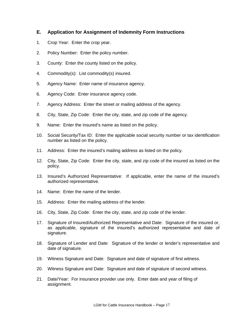## **E. Application for Assignment of Indemnity Form Instructions**

- 1. Crop Year: Enter the crop year.
- 2. Policy Number: Enter the policy number.
- 3. County: Enter the county listed on the policy.
- 4. Commodity(s): List commodity(s) insured.
- 5. Agency Name: Enter name of insurance agency.
- 6. Agency Code: Enter insurance agency code.
- 7. Agency Address: Enter the street or mailing address of the agency.
- 8. City, State, Zip Code: Enter the city, state, and zip code of the agency.
- 9. Name: Enter the insured's name as listed on the policy.
- 10. Social Security/Tax ID: Enter the applicable social security number or tax identification number as listed on the policy.
- 11. Address: Enter the insured's mailing address as listed on the policy.
- 12. City, State, Zip Code: Enter the city, state, and zip code of the insured as listed on the policy.
- 13. Insured's Authorized Representative: If applicable, enter the name of the insured's authorized representative.
- 14. Name: Enter the name of the lender.
- 15. Address: Enter the mailing address of the lender.
- 16. City, State, Zip Code: Enter the city, state, and zip code of the lender.
- 17. Signature of Insured/Authorized Representative and Date: Signature of the insured or, as applicable, signature of the insured's authorized representative and date of signature.
- 18. Signature of Lender and Date: Signature of the lender or lender's representative and date of signature.
- 19. Witness Signature and Date: Signature and date of signature of first witness.
- 20. Witness Signature and Date: Signature and date of signature of second witness.
- 21. Date/Year: For insurance provider use only. Enter date and year of filing of assignment.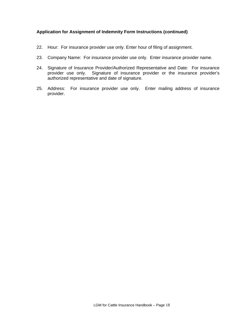#### **Application for Assignment of Indemnity Form Instructions (continued)**

- 22. Hour: For insurance provider use only. Enter hour of filing of assignment.
- 23. Company Name: For insurance provider use only. Enter insurance provider name.
- 24. Signature of Insurance Provider/Authorized Representative and Date: For insurance provider use only. Signature of insurance provider or the insurance provider's authorized representative and date of signature.
- 25. Address: For insurance provider use only. Enter mailing address of insurance provider.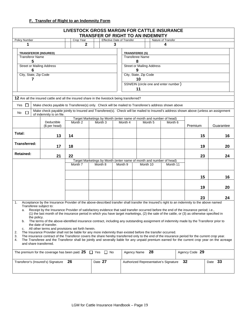## **F. Transfer of Right to an Indemnity Form**

|                                                                                                           |                                                                                                                                                                                                                                                                                                                                                                                                                                                                                                                                                                                                                                                                                                                                                                                                                                                                                                                                                                                                                                                                                                                                                        | LIVESTOCK GROSS MARGIN FOR CATTLE INSURANCE | <b>TRANSFER OF RIGHT TO AN INDEMNITY</b>                                                  |                                   |                                                                                          |                    |                    |                |    |           |
|-----------------------------------------------------------------------------------------------------------|--------------------------------------------------------------------------------------------------------------------------------------------------------------------------------------------------------------------------------------------------------------------------------------------------------------------------------------------------------------------------------------------------------------------------------------------------------------------------------------------------------------------------------------------------------------------------------------------------------------------------------------------------------------------------------------------------------------------------------------------------------------------------------------------------------------------------------------------------------------------------------------------------------------------------------------------------------------------------------------------------------------------------------------------------------------------------------------------------------------------------------------------------------|---------------------------------------------|-------------------------------------------------------------------------------------------|-----------------------------------|------------------------------------------------------------------------------------------|--------------------|--------------------|----------------|----|-----------|
| Policy Number                                                                                             |                                                                                                                                                                                                                                                                                                                                                                                                                                                                                                                                                                                                                                                                                                                                                                                                                                                                                                                                                                                                                                                                                                                                                        | Crop Year                                   |                                                                                           | <b>Effective Date of Transfer</b> |                                                                                          |                    | Nature of Transfer |                |    |           |
| 1                                                                                                         |                                                                                                                                                                                                                                                                                                                                                                                                                                                                                                                                                                                                                                                                                                                                                                                                                                                                                                                                                                                                                                                                                                                                                        | $\mathbf{2}$                                |                                                                                           | 3                                 |                                                                                          |                    | 4                  |                |    |           |
| <b>TRANSFEROR (INSURED)</b><br><b>Transferor Name</b><br>5<br><b>Street or Mailing Address</b>            |                                                                                                                                                                                                                                                                                                                                                                                                                                                                                                                                                                                                                                                                                                                                                                                                                                                                                                                                                                                                                                                                                                                                                        |                                             |                                                                                           |                                   | <b>TRANSFEREE (S)</b><br><b>Transferee Name</b><br>8<br><b>Street or Mailing Address</b> |                    |                    |                |    |           |
| 6                                                                                                         |                                                                                                                                                                                                                                                                                                                                                                                                                                                                                                                                                                                                                                                                                                                                                                                                                                                                                                                                                                                                                                                                                                                                                        |                                             |                                                                                           |                                   | 9                                                                                        |                    |                    |                |    |           |
| City, State, Zip Code<br>City, State, Zip Code<br>10<br>7<br>SSN/EIN (circle one and enter number)<br>11  |                                                                                                                                                                                                                                                                                                                                                                                                                                                                                                                                                                                                                                                                                                                                                                                                                                                                                                                                                                                                                                                                                                                                                        |                                             |                                                                                           |                                   |                                                                                          |                    |                    |                |    |           |
|                                                                                                           | 12 Are all the insured cattle and all the insured share in the livestock being transferred?                                                                                                                                                                                                                                                                                                                                                                                                                                                                                                                                                                                                                                                                                                                                                                                                                                                                                                                                                                                                                                                            |                                             |                                                                                           |                                   |                                                                                          |                    |                    |                |    |           |
| Yes $\Box$                                                                                                |                                                                                                                                                                                                                                                                                                                                                                                                                                                                                                                                                                                                                                                                                                                                                                                                                                                                                                                                                                                                                                                                                                                                                        |                                             |                                                                                           |                                   |                                                                                          |                    |                    |                |    |           |
| $\Box$<br>No                                                                                              | Make checks payable to Transferee(s) only. Check will be mailed to Transferee's address shown above<br>Make check payable jointly to Insured and Transferee(s). Check will be mailed to Insured's address shown above (unless an assignment<br>of indemnity is on file.                                                                                                                                                                                                                                                                                                                                                                                                                                                                                                                                                                                                                                                                                                                                                                                                                                                                                |                                             |                                                                                           |                                   |                                                                                          |                    |                    |                |    |           |
|                                                                                                           | Deductible<br>(\$ per head)                                                                                                                                                                                                                                                                                                                                                                                                                                                                                                                                                                                                                                                                                                                                                                                                                                                                                                                                                                                                                                                                                                                            | Month 2                                     | Target Marketings by Month (enter name of month and number of head)<br>Month <sub>3</sub> | Month 4                           |                                                                                          | Month <sub>5</sub> | Month <sub>6</sub> | Premium        |    | Guarantee |
| Total:                                                                                                    | 13                                                                                                                                                                                                                                                                                                                                                                                                                                                                                                                                                                                                                                                                                                                                                                                                                                                                                                                                                                                                                                                                                                                                                     | 14                                          |                                                                                           |                                   |                                                                                          |                    |                    |                | 15 | 16        |
| Transferred:                                                                                              | 17                                                                                                                                                                                                                                                                                                                                                                                                                                                                                                                                                                                                                                                                                                                                                                                                                                                                                                                                                                                                                                                                                                                                                     | 18                                          |                                                                                           |                                   |                                                                                          |                    |                    |                | 19 | 20        |
| <b>Retained:</b>                                                                                          | 21                                                                                                                                                                                                                                                                                                                                                                                                                                                                                                                                                                                                                                                                                                                                                                                                                                                                                                                                                                                                                                                                                                                                                     | 22                                          |                                                                                           |                                   |                                                                                          |                    |                    |                | 23 | 24        |
|                                                                                                           |                                                                                                                                                                                                                                                                                                                                                                                                                                                                                                                                                                                                                                                                                                                                                                                                                                                                                                                                                                                                                                                                                                                                                        | Month 7                                     | Target Marketings by Month (enter name of month and number of head)<br>Month 8            | Month 9                           | Month 10                                                                                 |                    | Month 11           |                |    |           |
|                                                                                                           |                                                                                                                                                                                                                                                                                                                                                                                                                                                                                                                                                                                                                                                                                                                                                                                                                                                                                                                                                                                                                                                                                                                                                        |                                             |                                                                                           |                                   |                                                                                          |                    |                    |                | 15 | 16        |
|                                                                                                           |                                                                                                                                                                                                                                                                                                                                                                                                                                                                                                                                                                                                                                                                                                                                                                                                                                                                                                                                                                                                                                                                                                                                                        |                                             |                                                                                           |                                   |                                                                                          |                    |                    |                | 19 | 20        |
|                                                                                                           |                                                                                                                                                                                                                                                                                                                                                                                                                                                                                                                                                                                                                                                                                                                                                                                                                                                                                                                                                                                                                                                                                                                                                        |                                             |                                                                                           |                                   |                                                                                          |                    |                    |                | 23 | 24        |
| 1.<br>Transferee subject to:<br>a.<br>the policy.<br>b.<br>c.<br>2.<br>3.<br>4.<br>and share transferred. | Acceptance by the Insurance Provider of the above-described transfer shall transfer the Insured's right to an indemnity to the above named<br>Receipt by the Insurance Provider of satisfactory evidence that said transfer occurred before the end of the insurance period; i.e.,<br>(1) the last month of the insurance period in which you have target marketings, (2) the sale of the cattle, or (3) as otherwise specified in<br>The terms of the above-identified insurance contract, including any outstanding assignment of indemnity made by the Transferor prior to<br>the date of transfer.<br>All other terms and provisions set forth herein.<br>The Insurance Provider shall not be liable for any more indemnity than existed before the transfer occurred.<br>The insurance contract of the Transferor covers the share hereby transferred only to the end of the insurance period for the current crop year.<br>The Transferee and the Transferor shall be jointly and severally liable for any unpaid premium earned for the current crop year on the acreage<br>The premium for the coverage has been paid. 25 $\Box$ Yes $\Box$ No |                                             |                                                                                           |                                   | Agency Name                                                                              | 28                 |                    | Agency Code 29 |    |           |
|                                                                                                           | Transferor's (Insured's) Signature                                                                                                                                                                                                                                                                                                                                                                                                                                                                                                                                                                                                                                                                                                                                                                                                                                                                                                                                                                                                                                                                                                                     | 26                                          | Date 27                                                                                   |                                   | Authorized Representative's Signature                                                    |                    |                    | 32             |    | Date 33   |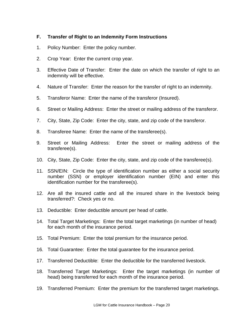## **F. Transfer of Right to an Indemnity Form Instructions**

- 1. Policy Number: Enter the policy number.
- 2. Crop Year: Enter the current crop year.
- 3. Effective Date of Transfer: Enter the date on which the transfer of right to an indemnity will be effective.
- 4. Nature of Transfer: Enter the reason for the transfer of right to an indemnity.
- 5. Transferor Name: Enter the name of the transferor (Insured).
- 6. Street or Mailing Address: Enter the street or mailing address of the transferor.
- 7. City, State, Zip Code: Enter the city, state, and zip code of the transferor.
- 8. Transferee Name: Enter the name of the transferee(s).
- 9. Street or Mailing Address: Enter the street or mailing address of the transferee(s).
- 10. City, State, Zip Code: Enter the city, state, and zip code of the transferee(s).
- 11. SSN/EIN: Circle the type of identification number as either a social security number (SSN) or employer identification number (EIN) and enter this identification number for the transferee(s).
- 12. Are all the insured cattle and all the insured share in the livestock being transferred?: Check yes or no.
- 13. Deductible: Enter deductible amount per head of cattle.
- 14. Total Target Marketings: Enter the total target marketings (in number of head) for each month of the insurance period.
- 15. Total Premium: Enter the total premium for the insurance period.
- 16. Total Guarantee: Enter the total guarantee for the insurance period.
- 17. Transferred Deductible: Enter the deductible for the transferred livestock.
- 18. Transferred Target Marketings: Enter the target marketings (in number of head) being transferred for each month of the insurance period.
- 19. Transferred Premium: Enter the premium for the transferred target marketings.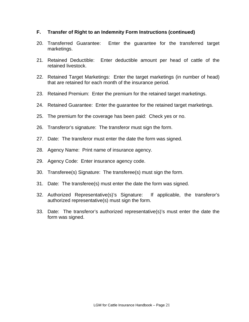## **F. Transfer of Right to an Indemnity Form Instructions (continued)**

- 20. Transferred Guarantee: Enter the guarantee for the transferred target marketings.
- 21. Retained Deductible: Enter deductible amount per head of cattle of the retained livestock.
- 22. Retained Target Marketings: Enter the target marketings (in number of head) that are retained for each month of the insurance period.
- 23. Retained Premium: Enter the premium for the retained target marketings.
- 24. Retained Guarantee: Enter the guarantee for the retained target marketings.
- 25. The premium for the coverage has been paid: Check yes or no.
- 26. Transferor's signature: The transferor must sign the form.
- 27. Date: The transferor must enter the date the form was signed.
- 28. Agency Name: Print name of insurance agency.
- 29. Agency Code: Enter insurance agency code.
- 30. Transferee(s) Signature: The transferee(s) must sign the form.
- 31. Date: The transferee(s) must enter the date the form was signed.
- 32. Authorized Representative(s)'s Signature: If applicable, the transferor's authorized representative(s) must sign the form.
- 33. Date: The transferor's authorized representative(s)'s must enter the date the form was signed.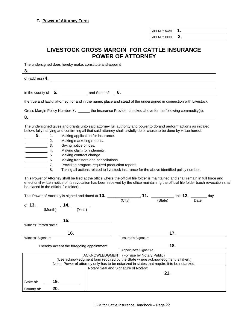AGENCY NAME **1.**

AGENCY CODE **2.**

## **LIVESTOCK GROSS MARGIN FOR CATTLE INSURANCE POWER OF ATTORNEY**

The undersigned does hereby make, constitute and appoint

**3.**  of (address) **4.** in the county of **5.** and State of **6.** the true and lawful attorney, for and in the name, place and stead of the undersigned in connection with Livestock Gross Margin Policy Number 7. \_\_\_\_\_\_ the Insurance Provider checked above for the following commodity(s): **8.** The undersigned gives and grants unto said attorney full authority and power to do and perform actions as initialed below, fully ratifying and confirming all that said attorney shall lawfully do or cause to be done by virtue hereof. **9. 1.** Making application for insurance. **2.** Making marketing reports. 3. Giving notice of loss.<br>4. Making claim for inde 4. Making claim for indemnity.<br>5. Making contract change. Making contract change. 6. Making transfers and cancellations. 7. Providing program-required production reports. 8. Taking all actions related to livestock insurance for the above identified policy number. This Power of Attorney shall be filed at the office where the official file folder is maintained and shall remain in full force and effect until written notice of its revocation has been received by the office maintaining the official file folder (such revocation shall be placed in the official file folder). This Power of Attorney is signed and dated at **10.** \_\_\_\_\_\_\_\_\_\_\_\_\_\_\_\_, **11.** \_\_\_\_\_\_\_\_\_\_\_, this **12.** \_\_\_\_\_\_\_\_ day

| This Power of Attorney is signed and dated at <b>10.</b> This Power of Attorney | , this 1 $\boldsymbol{\mathsf{Z}}$ .<br>day                                                 |
|---------------------------------------------------------------------------------|---------------------------------------------------------------------------------------------|
|                                                                                 | (State)<br>(City)<br>Date                                                                   |
|                                                                                 |                                                                                             |
| of 13. $\frac{1}{(Month)}$ , 14. $\frac{1}{(Year)}$ .                           |                                                                                             |
|                                                                                 |                                                                                             |
| 15.                                                                             |                                                                                             |
| <b>Witness' Printed Name</b>                                                    |                                                                                             |
|                                                                                 |                                                                                             |
| 16.                                                                             | 17.                                                                                         |
| Witness' Signature                                                              | Insured's Signature                                                                         |
| I hereby accept the foregoing appointment:                                      | 18.                                                                                         |
|                                                                                 | Appointee's Signature                                                                       |
|                                                                                 | ACKNOWLEDGMENT (For use by Notary Public)                                                   |
|                                                                                 | (Use acknowledgment form required by the State where acknowledgment is taken.)              |
|                                                                                 | Note: Power of attorney only has to be notarized in states that require it to be notarized. |
|                                                                                 | Notary Seal and Signature of Notary:                                                        |
|                                                                                 | 21.                                                                                         |
|                                                                                 |                                                                                             |
| 19.<br>State of:                                                                |                                                                                             |
| 20.<br>County of:                                                               |                                                                                             |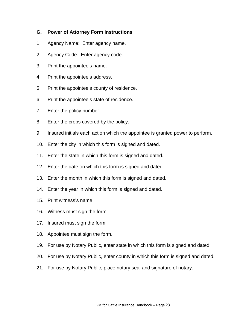## **G. Power of Attorney Form Instructions**

- 1. Agency Name: Enter agency name.
- 2. Agency Code: Enter agency code.
- 3. Print the appointee's name.
- 4. Print the appointee's address.
- 5. Print the appointee's county of residence.
- 6. Print the appointee's state of residence.
- 7. Enter the policy number.
- 8. Enter the crops covered by the policy.
- 9. Insured initials each action which the appointee is granted power to perform.
- 10. Enter the city in which this form is signed and dated.
- 11. Enter the state in which this form is signed and dated.
- 12. Enter the date on which this form is signed and dated.
- 13. Enter the month in which this form is signed and dated.
- 14. Enter the year in which this form is signed and dated.
- 15. Print witness's name.
- 16. Witness must sign the form.
- 17. Insured must sign the form.
- 18. Appointee must sign the form.
- 19. For use by Notary Public, enter state in which this form is signed and dated.
- 20. For use by Notary Public, enter county in which this form is signed and dated.
- 21. For use by Notary Public, place notary seal and signature of notary.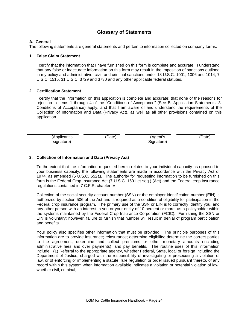## **Glossary of Statements**

#### **A. General**

The following statements are general statements and pertain to information collected on company forms.

#### **1. False Claim Statement**

I certify that the information that I have furnished on this form is complete and accurate. I understand that any false or inaccurate information on this form may result in the imposition of sanctions outlined in my policy and administrative, civil, and criminal sanctions under 18 U.S.C. 1001, 1006 and 1014, 7 U.S.C. 1515, 31 U.S.C. 3729 and 3730 and any other applicable federal statutes.

#### **2**. **Certification Statement**

I certify that the information on this application is complete and accurate; that none of the reasons for rejection in items 1 through 4 of the "Conditions of Acceptance" (See B. Application Statements, 3. Conditions of Acceptance) apply; and that I am aware of and understand the requirements of the Collection of Information and Data (Privacy Act), as well as all other provisions contained on this application.

| (Applicant's | (Date) | (Agent's   | (Date) |
|--------------|--------|------------|--------|
| signature)   |        | Signature) |        |

#### **3. Collection of Information and Data (Privacy Act)**

To the extent that the information requested herein relates to your individual capacity as opposed to your business capacity, the following statements are made in accordance with the Privacy Act of 1974, as amended (5 U.S.C. 552a). The authority for requesting information to be furnished on this form is the Federal Crop Insurance Act (7 U.S.C. 1501 et seq.) (Act) and the Federal crop insurance regulations contained in 7 C.F.R. chapter IV.

Collection of the social security account number (SSN) or the employer identification number (EIN) is authorized by section 506 of the Act and is required as a condition of eligibility for participation in the Federal crop insurance program. The primary use of the SSN or EIN is to correctly identify you, and any other person with an interest in you or your entity of 10 percent or more, as a policyholder within the systems maintained by the Federal Crop Insurance Corporation (FCIC). Furnishing the SSN or EIN is voluntary; however, failure to furnish that number will result in denial of program participation and benefits.

Your policy also specifies other information that must be provided. The principle purposes of this information are to provide insurance; reinsurance; determine eligibility; determine the correct parties to the agreement; determine and collect premiums or other monetary amounts (including administrative fees and over payments); and pay benefits. The routine uses of this information include: (1) Referral to the appropriate agency, whether Federal, State, local or foreign including the Department of Justice, charged with the responsibility of investigating or prosecuting a violation of law, or of enforcing or implementing a statute, rule regulation or order issued pursuant thereto, of any record within this system when information available indicates a violation or potential violation of law, whether civil, criminal,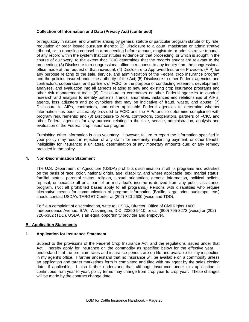#### **Collection of Information and Data (Privacy Act) (continued)**

or regulatory in nature, and whether arising by general statute or particular program statute or by rule, regulation or order issued pursuant thereto; (2) Disclosure to a court, magistrate or administrative tribunal, or to opposing counsel in a proceeding before a court, magistrate or administrative tribunal, of any record within the system that constitutes evidence on that proceeding, or which is sought in the course of discovery, to the extent that FCIC determines that the records sought are relevant to the proceeding; (3) Disclosure to a congressional office in response to any inquiry from the congressional office made at the request of that individual; (4) Disclosure to Approved Insurance Providers (AIP) for any purpose relating to the sale, service, and administration of the Federal crop insurance program and the policies insured under the authority of the Act; (5) Disclosure to other Federal agencies and contractors, cooperators, and partners of FCIC for the purpose of conducting research, development, analyses, and evaluation into all aspects relating to new and existing crop insurance programs and other risk management tools; (6) Disclosure to contractors or other Federal agencies to conduct research and analysis to identify patterns, trends, anomalies, instances and relationships of AIP's, agents, loss adjusters and policyholders that may be indicative of fraud, waste, and abuse; (7) Disclosure to AIPs, contractors, and other applicable Federal agencies to determine whether information has been accurately provided to FCIC and the AIPs and to determine compliance with program requirements; and (8) Disclosure to AIPs, contractors, cooperators, partners of FCIC, and other Federal agencies for any purpose relating to the sale, service, administration, analysis and evaluation of the Federal crop insurance program.

Furnishing other information is also voluntary. However, failure to report the information specified in your policy may result in rejection of any claim for indemnity, replanting payment, or other benefit; ineligibility for insurance; a unilateral determination of any monetary amounts due; or any remedy provided in the policy.

#### **4. Non-Discrimination Statement**

The U.S. Department of Agriculture (USDA) prohibits discrimination in all its programs and activities on the basis of race, color, national origin, age, disability, and where applicable, sex, marital status, familial status, parental status, religion, sexual orientation, genetic information, political beliefs, reprisal, or because all or a part of an individual's income is derived from any public assistance program. (Not all prohibited bases apply to all programs.) Persons with disabilities who require alternative means for communication of program information (Braille, large print, audiotape, etc.) should contact USDA's TARGET Center at (202) 720-2600 (voice and TDD).

To file a complaint of discrimination, write to: USDA, Director, Office of Civil Rights,1400 Independence Avenue, S.W., Washington, D.C. 20250-9410, or call (800) 795-3272 (voice) or (202) 720-6382 (TDD). USDA is an equal opportunity provider and employer.

#### **B. Application Statements**

#### **1. Application for Insurance Statement**

Subject to the provisions of the Federal Crop Insurance Act, and the regulations issued under that Act, I hereby apply for insurance on the commodity as specified below for the effective year. I understand that the premium rates and insurance periods are on file and available for my inspection in my agent's office. I further understand that no insurance will be available on a commodity unless an application and target marketings form is completed and filed with my agent by the sales closing date, if applicable. I also further understand that, although insurance under this application is continuous from year to year, policy terms may change from crop year to crop year. These changes will be made by the contract change date.